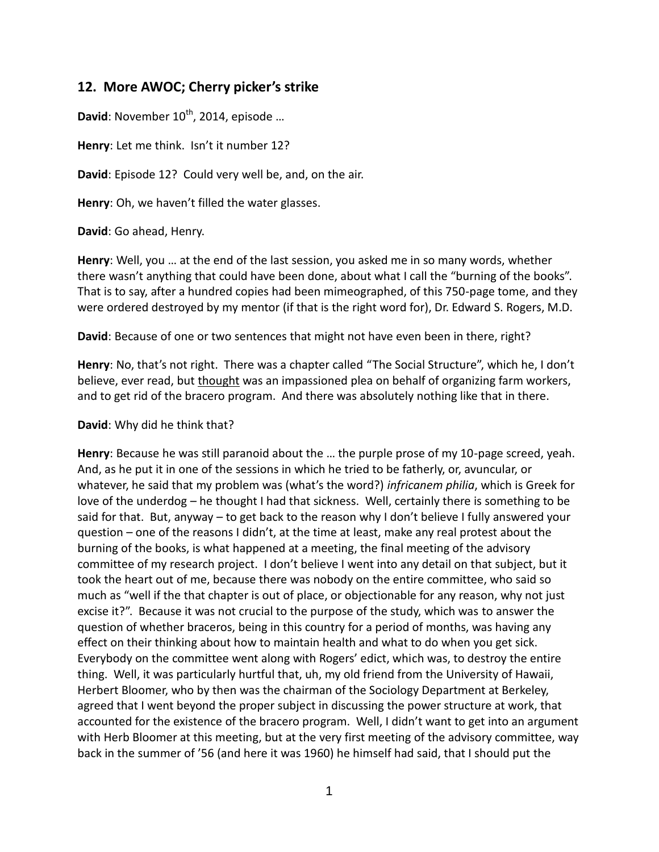## **12. More AWOC; Cherry picker's strike**

David: November 10<sup>th</sup>, 2014, episode ...

**Henry**: Let me think. Isn't it number 12?

**David**: Episode 12? Could very well be, and, on the air.

**Henry**: Oh, we haven't filled the water glasses.

**David**: Go ahead, Henry.

**Henry**: Well, you … at the end of the last session, you asked me in so many words, whether there wasn't anything that could have been done, about what I call the "burning of the books". That is to say, after a hundred copies had been mimeographed, of this 750-page tome, and they were ordered destroyed by my mentor (if that is the right word for), Dr. Edward S. Rogers, M.D.

**David**: Because of one or two sentences that might not have even been in there, right?

**Henry**: No, that's not right. There was a chapter called "The Social Structure", which he, I don't believe, ever read, but thought was an impassioned plea on behalf of organizing farm workers, and to get rid of the bracero program. And there was absolutely nothing like that in there.

**David**: Why did he think that?

**Henry**: Because he was still paranoid about the … the purple prose of my 10-page screed, yeah. And, as he put it in one of the sessions in which he tried to be fatherly, or, avuncular, or whatever, he said that my problem was (what's the word?) *infricanem philia*, which is Greek for love of the underdog – he thought I had that sickness. Well, certainly there is something to be said for that. But, anyway – to get back to the reason why I don't believe I fully answered your question – one of the reasons I didn't, at the time at least, make any real protest about the burning of the books, is what happened at a meeting, the final meeting of the advisory committee of my research project. I don't believe I went into any detail on that subject, but it took the heart out of me, because there was nobody on the entire committee, who said so much as "well if the that chapter is out of place, or objectionable for any reason, why not just excise it?". Because it was not crucial to the purpose of the study, which was to answer the question of whether braceros, being in this country for a period of months, was having any effect on their thinking about how to maintain health and what to do when you get sick. Everybody on the committee went along with Rogers' edict, which was, to destroy the entire thing. Well, it was particularly hurtful that, uh, my old friend from the University of Hawaii, Herbert Bloomer, who by then was the chairman of the Sociology Department at Berkeley, agreed that I went beyond the proper subject in discussing the power structure at work, that accounted for the existence of the bracero program. Well, I didn't want to get into an argument with Herb Bloomer at this meeting, but at the very first meeting of the advisory committee, way back in the summer of '56 (and here it was 1960) he himself had said, that I should put the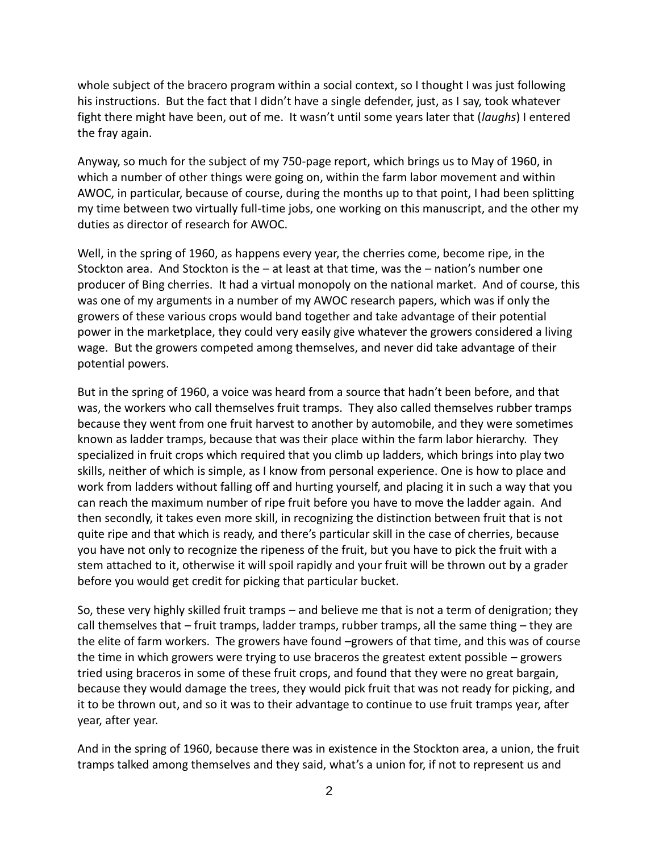whole subject of the bracero program within a social context, so I thought I was just following his instructions. But the fact that I didn't have a single defender, just, as I say, took whatever fight there might have been, out of me. It wasn't until some years later that (*laughs*) I entered the fray again.

Anyway, so much for the subject of my 750-page report, which brings us to May of 1960, in which a number of other things were going on, within the farm labor movement and within AWOC, in particular, because of course, during the months up to that point, I had been splitting my time between two virtually full-time jobs, one working on this manuscript, and the other my duties as director of research for AWOC.

Well, in the spring of 1960, as happens every year, the cherries come, become ripe, in the Stockton area. And Stockton is the – at least at that time, was the – nation's number one producer of Bing cherries. It had a virtual monopoly on the national market. And of course, this was one of my arguments in a number of my AWOC research papers, which was if only the growers of these various crops would band together and take advantage of their potential power in the marketplace, they could very easily give whatever the growers considered a living wage. But the growers competed among themselves, and never did take advantage of their potential powers.

But in the spring of 1960, a voice was heard from a source that hadn't been before, and that was, the workers who call themselves fruit tramps. They also called themselves rubber tramps because they went from one fruit harvest to another by automobile, and they were sometimes known as ladder tramps, because that was their place within the farm labor hierarchy. They specialized in fruit crops which required that you climb up ladders, which brings into play two skills, neither of which is simple, as I know from personal experience. One is how to place and work from ladders without falling off and hurting yourself, and placing it in such a way that you can reach the maximum number of ripe fruit before you have to move the ladder again. And then secondly, it takes even more skill, in recognizing the distinction between fruit that is not quite ripe and that which is ready, and there's particular skill in the case of cherries, because you have not only to recognize the ripeness of the fruit, but you have to pick the fruit with a stem attached to it, otherwise it will spoil rapidly and your fruit will be thrown out by a grader before you would get credit for picking that particular bucket.

So, these very highly skilled fruit tramps – and believe me that is not a term of denigration; they call themselves that – fruit tramps, ladder tramps, rubber tramps, all the same thing – they are the elite of farm workers. The growers have found –growers of that time, and this was of course the time in which growers were trying to use braceros the greatest extent possible – growers tried using braceros in some of these fruit crops, and found that they were no great bargain, because they would damage the trees, they would pick fruit that was not ready for picking, and it to be thrown out, and so it was to their advantage to continue to use fruit tramps year, after year, after year.

And in the spring of 1960, because there was in existence in the Stockton area, a union, the fruit tramps talked among themselves and they said, what's a union for, if not to represent us and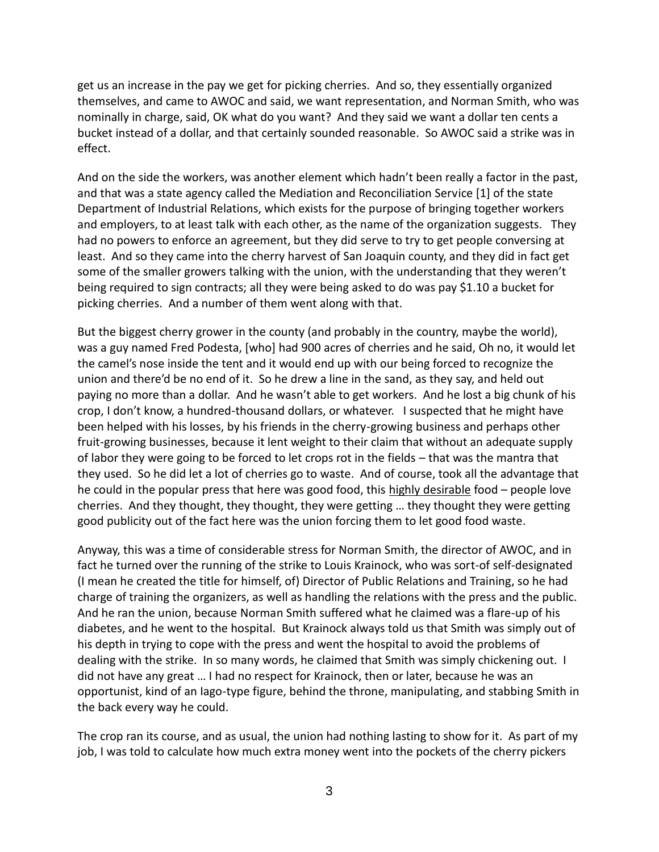get us an increase in the pay we get for picking cherries. And so, they essentially organized themselves, and came to AWOC and said, we want representation, and Norman Smith, who was nominally in charge, said, OK what do you want? And they said we want a dollar ten cents a bucket instead of a dollar, and that certainly sounded reasonable. So AWOC said a strike was in effect.

And on the side the workers, was another element which hadn't been really a factor in the past, and that was a state agency called the Mediation and Reconciliation Service [1] of the state Department of Industrial Relations, which exists for the purpose of bringing together workers and employers, to at least talk with each other, as the name of the organization suggests. They had no powers to enforce an agreement, but they did serve to try to get people conversing at least. And so they came into the cherry harvest of San Joaquin county, and they did in fact get some of the smaller growers talking with the union, with the understanding that they weren't being required to sign contracts; all they were being asked to do was pay \$1.10 a bucket for picking cherries. And a number of them went along with that.

But the biggest cherry grower in the county (and probably in the country, maybe the world), was a guy named Fred Podesta, [who] had 900 acres of cherries and he said, Oh no, it would let the camel's nose inside the tent and it would end up with our being forced to recognize the union and there'd be no end of it. So he drew a line in the sand, as they say, and held out paying no more than a dollar. And he wasn't able to get workers. And he lost a big chunk of his crop, I don't know, a hundred-thousand dollars, or whatever. I suspected that he might have been helped with his losses, by his friends in the cherry-growing business and perhaps other fruit-growing businesses, because it lent weight to their claim that without an adequate supply of labor they were going to be forced to let crops rot in the fields – that was the mantra that they used. So he did let a lot of cherries go to waste. And of course, took all the advantage that he could in the popular press that here was good food, this highly desirable food – people love cherries. And they thought, they thought, they were getting … they thought they were getting good publicity out of the fact here was the union forcing them to let good food waste.

Anyway, this was a time of considerable stress for Norman Smith, the director of AWOC, and in fact he turned over the running of the strike to Louis Krainock, who was sort-of self-designated (I mean he created the title for himself, of) Director of Public Relations and Training, so he had charge of training the organizers, as well as handling the relations with the press and the public. And he ran the union, because Norman Smith suffered what he claimed was a flare-up of his diabetes, and he went to the hospital. But Krainock always told us that Smith was simply out of his depth in trying to cope with the press and went the hospital to avoid the problems of dealing with the strike. In so many words, he claimed that Smith was simply chickening out. I did not have any great … I had no respect for Krainock, then or later, because he was an opportunist, kind of an Iago-type figure, behind the throne, manipulating, and stabbing Smith in the back every way he could.

The crop ran its course, and as usual, the union had nothing lasting to show for it. As part of my job, I was told to calculate how much extra money went into the pockets of the cherry pickers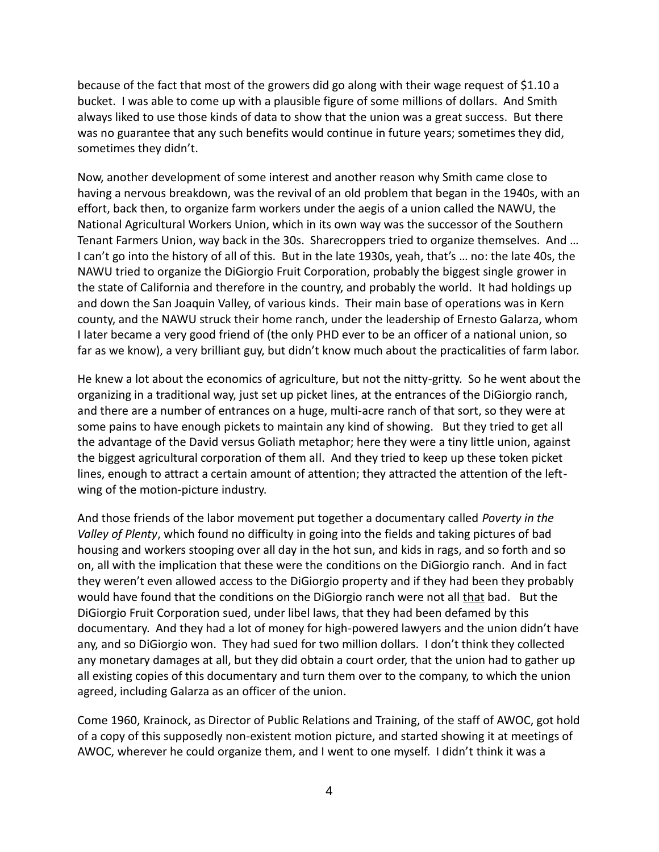because of the fact that most of the growers did go along with their wage request of \$1.10 a bucket. I was able to come up with a plausible figure of some millions of dollars. And Smith always liked to use those kinds of data to show that the union was a great success. But there was no guarantee that any such benefits would continue in future years; sometimes they did, sometimes they didn't.

Now, another development of some interest and another reason why Smith came close to having a nervous breakdown, was the revival of an old problem that began in the 1940s, with an effort, back then, to organize farm workers under the aegis of a union called the NAWU, the National Agricultural Workers Union, which in its own way was the successor of the Southern Tenant Farmers Union, way back in the 30s. Sharecroppers tried to organize themselves. And … I can't go into the history of all of this. But in the late 1930s, yeah, that's … no: the late 40s, the NAWU tried to organize the DiGiorgio Fruit Corporation, probably the biggest single grower in the state of California and therefore in the country, and probably the world. It had holdings up and down the San Joaquin Valley, of various kinds. Their main base of operations was in Kern county, and the NAWU struck their home ranch, under the leadership of Ernesto Galarza, whom I later became a very good friend of (the only PHD ever to be an officer of a national union, so far as we know), a very brilliant guy, but didn't know much about the practicalities of farm labor.

He knew a lot about the economics of agriculture, but not the nitty-gritty. So he went about the organizing in a traditional way, just set up picket lines, at the entrances of the DiGiorgio ranch, and there are a number of entrances on a huge, multi-acre ranch of that sort, so they were at some pains to have enough pickets to maintain any kind of showing. But they tried to get all the advantage of the David versus Goliath metaphor; here they were a tiny little union, against the biggest agricultural corporation of them all. And they tried to keep up these token picket lines, enough to attract a certain amount of attention; they attracted the attention of the left wing of the motion-picture industry.

And those friends of the labor movement put together a documentary called *Poverty in the Valley of Plenty*, which found no difficulty in going into the fields and taking pictures of bad housing and workers stooping over all day in the hot sun, and kids in rags, and so forth and so on, all with the implication that these were the conditions on the DiGiorgio ranch. And in fact they weren't even allowed access to the DiGiorgio property and if they had been they probably would have found that the conditions on the DiGiorgio ranch were not all that bad. But the DiGiorgio Fruit Corporation sued, under libel laws, that they had been defamed by this documentary. And they had a lot of money for high-powered lawyers and the union didn't have any, and so DiGiorgio won. They had sued for two million dollars. I don't think they collected any monetary damages at all, but they did obtain a court order, that the union had to gather up all existing copies of this documentary and turn them over to the company, to which the union agreed, including Galarza as an officer of the union.

Come 1960, Krainock, as Director of Public Relations and Training, of the staff of AWOC, got hold of a copy of this supposedly non-existent motion picture, and started showing it at meetings of AWOC, wherever he could organize them, and I went to one myself. I didn't think it was a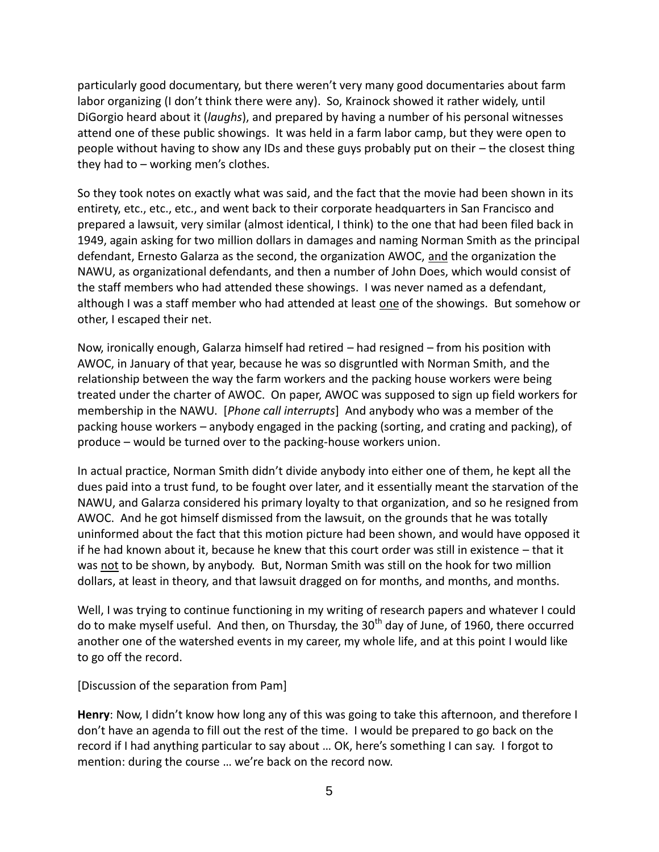particularly good documentary, but there weren't very many good documentaries about farm labor organizing (I don't think there were any). So, Krainock showed it rather widely, until DiGorgio heard about it (*laughs*), and prepared by having a number of his personal witnesses attend one of these public showings. It was held in a farm labor camp, but they were open to people without having to show any IDs and these guys probably put on their – the closest thing they had to – working men's clothes.

So they took notes on exactly what was said, and the fact that the movie had been shown in its entirety, etc., etc., etc., and went back to their corporate headquarters in San Francisco and prepared a lawsuit, very similar (almost identical, I think) to the one that had been filed back in 1949, again asking for two million dollars in damages and naming Norman Smith as the principal defendant, Ernesto Galarza as the second, the organization AWOC, and the organization the NAWU, as organizational defendants, and then a number of John Does, which would consist of the staff members who had attended these showings. I was never named as a defendant, although I was a staff member who had attended at least one of the showings. But somehow or other, I escaped their net.

Now, ironically enough, Galarza himself had retired – had resigned – from his position with AWOC, in January of that year, because he was so disgruntled with Norman Smith, and the relationship between the way the farm workers and the packing house workers were being treated under the charter of AWOC. On paper, AWOC was supposed to sign up field workers for membership in the NAWU. [*Phone call interrupts*] And anybody who was a member of the packing house workers – anybody engaged in the packing (sorting, and crating and packing), of produce – would be turned over to the packing-house workers union.

In actual practice, Norman Smith didn't divide anybody into either one of them, he kept all the dues paid into a trust fund, to be fought over later, and it essentially meant the starvation of the NAWU, and Galarza considered his primary loyalty to that organization, and so he resigned from AWOC. And he got himself dismissed from the lawsuit, on the grounds that he was totally uninformed about the fact that this motion picture had been shown, and would have opposed it if he had known about it, because he knew that this court order was still in existence – that it was not to be shown, by anybody. But, Norman Smith was still on the hook for two million dollars, at least in theory, and that lawsuit dragged on for months, and months, and months.

Well, I was trying to continue functioning in my writing of research papers and whatever I could do to make myself useful. And then, on Thursday, the 30<sup>th</sup> day of June, of 1960, there occurred another one of the watershed events in my career, my whole life, and at this point I would like to go off the record.

[Discussion of the separation from Pam]

**Henry**: Now, I didn't know how long any of this was going to take this afternoon, and therefore I don't have an agenda to fill out the rest of the time. I would be prepared to go back on the record if I had anything particular to say about … OK, here's something I can say. I forgot to mention: during the course … we're back on the record now.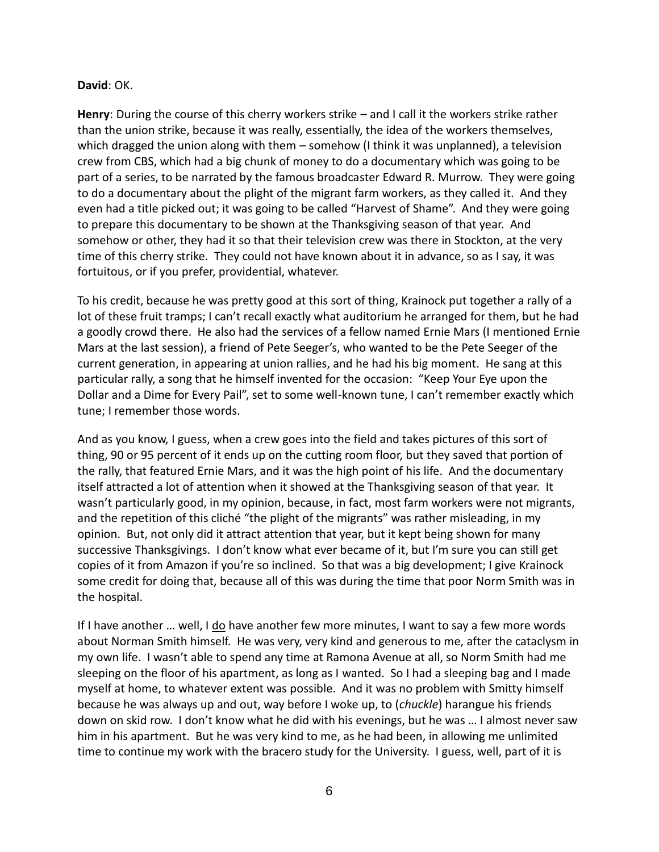## **David**: OK.

**Henry**: During the course of this cherry workers strike – and I call it the workers strike rather than the union strike, because it was really, essentially, the idea of the workers themselves, which dragged the union along with them – somehow (I think it was unplanned), a television crew from CBS, which had a big chunk of money to do a documentary which was going to be part of a series, to be narrated by the famous broadcaster Edward R. Murrow. They were going to do a documentary about the plight of the migrant farm workers, as they called it. And they even had a title picked out; it was going to be called "Harvest of Shame". And they were going to prepare this documentary to be shown at the Thanksgiving season of that year. And somehow or other, they had it so that their television crew was there in Stockton, at the very time of this cherry strike. They could not have known about it in advance, so as I say, it was fortuitous, or if you prefer, providential, whatever.

To his credit, because he was pretty good at this sort of thing, Krainock put together a rally of a lot of these fruit tramps; I can't recall exactly what auditorium he arranged for them, but he had a goodly crowd there. He also had the services of a fellow named Ernie Mars (I mentioned Ernie Mars at the last session), a friend of Pete Seeger's, who wanted to be the Pete Seeger of the current generation, in appearing at union rallies, and he had his big moment. He sang at this particular rally, a song that he himself invented for the occasion: "Keep Your Eye upon the Dollar and a Dime for Every Pail", set to some well-known tune, I can't remember exactly which tune; I remember those words.

And as you know, I guess, when a crew goes into the field and takes pictures of this sort of thing, 90 or 95 percent of it ends up on the cutting room floor, but they saved that portion of the rally, that featured Ernie Mars, and it was the high point of his life. And the documentary itself attracted a lot of attention when it showed at the Thanksgiving season of that year. It wasn't particularly good, in my opinion, because, in fact, most farm workers were not migrants, and the repetition of this cliché "the plight of the migrants" was rather misleading, in my opinion. But, not only did it attract attention that year, but it kept being shown for many successive Thanksgivings. I don't know what ever became of it, but I'm sure you can still get copies of it from Amazon if you're so inclined. So that was a big development; I give Krainock some credit for doing that, because all of this was during the time that poor Norm Smith was in the hospital.

If I have another ... well, I  $\underline{do}$  have another few more minutes, I want to say a few more words about Norman Smith himself. He was very, very kind and generous to me, after the cataclysm in my own life. I wasn't able to spend any time at Ramona Avenue at all, so Norm Smith had me sleeping on the floor of his apartment, as long as I wanted. So I had a sleeping bag and I made myself at home, to whatever extent was possible. And it was no problem with Smitty himself because he was always up and out, way before I woke up, to (*chuckle*) harangue his friends down on skid row. I don't know what he did with his evenings, but he was … I almost never saw him in his apartment. But he was very kind to me, as he had been, in allowing me unlimited time to continue my work with the bracero study for the University. I guess, well, part of it is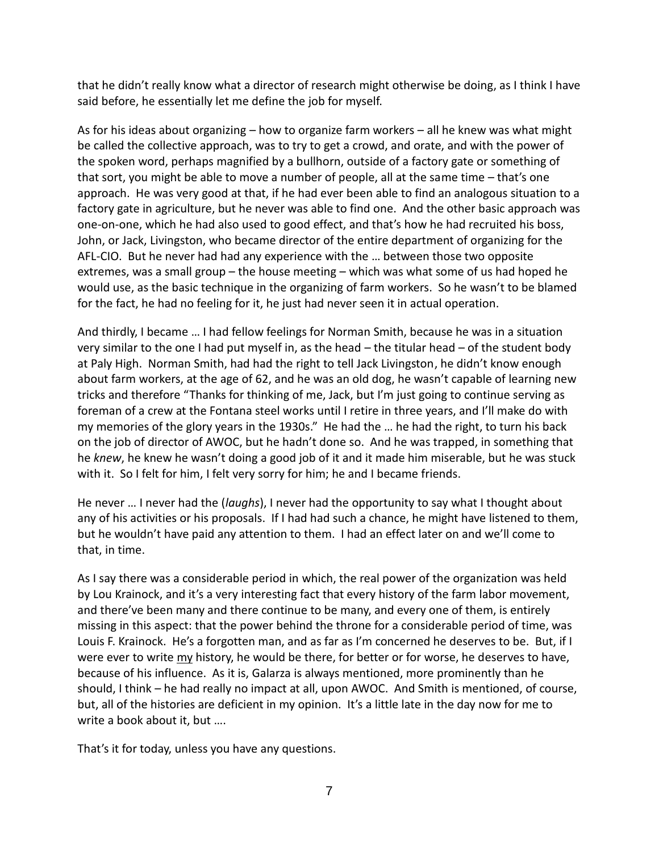that he didn't really know what a director of research might otherwise be doing, as I think I have said before, he essentially let me define the job for myself.

As for his ideas about organizing – how to organize farm workers – all he knew was what might be called the collective approach, was to try to get a crowd, and orate, and with the power of the spoken word, perhaps magnified by a bullhorn, outside of a factory gate or something of that sort, you might be able to move a number of people, all at the same time – that's one approach. He was very good at that, if he had ever been able to find an analogous situation to a factory gate in agriculture, but he never was able to find one. And the other basic approach was one-on-one, which he had also used to good effect, and that's how he had recruited his boss, John, or Jack, Livingston, who became director of the entire department of organizing for the AFL-CIO. But he never had had any experience with the … between those two opposite extremes, was a small group – the house meeting – which was what some of us had hoped he would use, as the basic technique in the organizing of farm workers. So he wasn't to be blamed for the fact, he had no feeling for it, he just had never seen it in actual operation.

And thirdly, I became … I had fellow feelings for Norman Smith, because he was in a situation very similar to the one I had put myself in, as the head – the titular head – of the student body at Paly High. Norman Smith, had had the right to tell Jack Livingston, he didn't know enough about farm workers, at the age of 62, and he was an old dog, he wasn't capable of learning new tricks and therefore "Thanks for thinking of me, Jack, but I'm just going to continue serving as foreman of a crew at the Fontana steel works until I retire in three years, and I'll make do with my memories of the glory years in the 1930s." He had the … he had the right, to turn his back on the job of director of AWOC, but he hadn't done so. And he was trapped, in something that he *knew*, he knew he wasn't doing a good job of it and it made him miserable, but he was stuck with it. So I felt for him, I felt very sorry for him; he and I became friends.

He never … I never had the (*laughs*), I never had the opportunity to say what I thought about any of his activities or his proposals. If I had had such a chance, he might have listened to them, but he wouldn't have paid any attention to them. I had an effect later on and we'll come to that, in time.

As I say there was a considerable period in which, the real power of the organization was held by Lou Krainock, and it's a very interesting fact that every history of the farm labor movement, and there've been many and there continue to be many, and every one of them, is entirely missing in this aspect: that the power behind the throne for a considerable period of time, was Louis F. Krainock. He's a forgotten man, and as far as I'm concerned he deserves to be. But, if I were ever to write my history, he would be there, for better or for worse, he deserves to have, because of his influence. As it is, Galarza is always mentioned, more prominently than he should, I think – he had really no impact at all, upon AWOC. And Smith is mentioned, of course, but, all of the histories are deficient in my opinion. It's a little late in the day now for me to write a book about it, but ….

That's it for today, unless you have any questions.